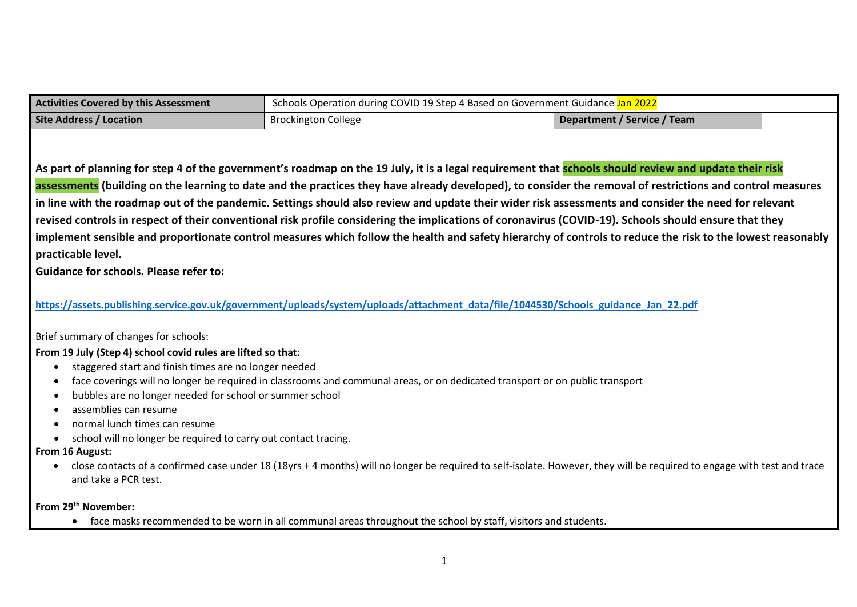| Schools Operation during COVID 19 Step 4 Based on Government Guidance Jan 2022<br><b>Activities Covered by this Assessment</b> |                            |                             |  |  |  |  |  |  |  |
|--------------------------------------------------------------------------------------------------------------------------------|----------------------------|-----------------------------|--|--|--|--|--|--|--|
| <b>Site Address / Location</b>                                                                                                 | <b>Brockington College</b> | Department / Service / Team |  |  |  |  |  |  |  |

**As part of planning for step 4 of the government's roadmap on the 19 July, it is a legal requirement that schools should review and update their risk assessments (building on the learning to date and the practices they have already developed), to consider the removal of restrictions and control measures in line with the roadmap out of the pandemic. Settings should also review and update their wider risk assessments and consider the need for relevant revised controls in respect of their conventional risk profile considering the implications of coronavirus (COVID-19). Schools should ensure that they implement sensible and proportionate control measures which follow the health and safety hierarchy of controls to reduce the risk to the lowest reasonably practicable level.**

**Guidance for schools. Please refer to:** 

**[https://assets.publishing.service.gov.uk/government/uploads/system/uploads/attachment\\_data/file/1044530/Schools\\_guidance\\_Jan\\_22.pdf](https://assets.publishing.service.gov.uk/government/uploads/system/uploads/attachment_data/file/1044530/Schools_guidance_Jan_22.pdf)**

Brief summary of changes for schools:

**From 19 July (Step 4) school covid rules are lifted so that:**

- staggered start and finish times are no longer needed
- face coverings will no longer be required in classrooms and communal areas, or on dedicated transport or on public transport
- bubbles are no longer needed for school or summer school
- assemblies can resume
- normal lunch times can resume
- school will no longer be required to carry out contact tracing.

## **From 16 August:**

• close contacts of a confirmed case under 18 (18yrs + 4 months) will no longer be required to self-isolate. However, they will be required to engage with test and trace and take a PCR test.

**From 29th November:**

• face masks recommended to be worn in all communal areas throughout the school by staff, visitors and students.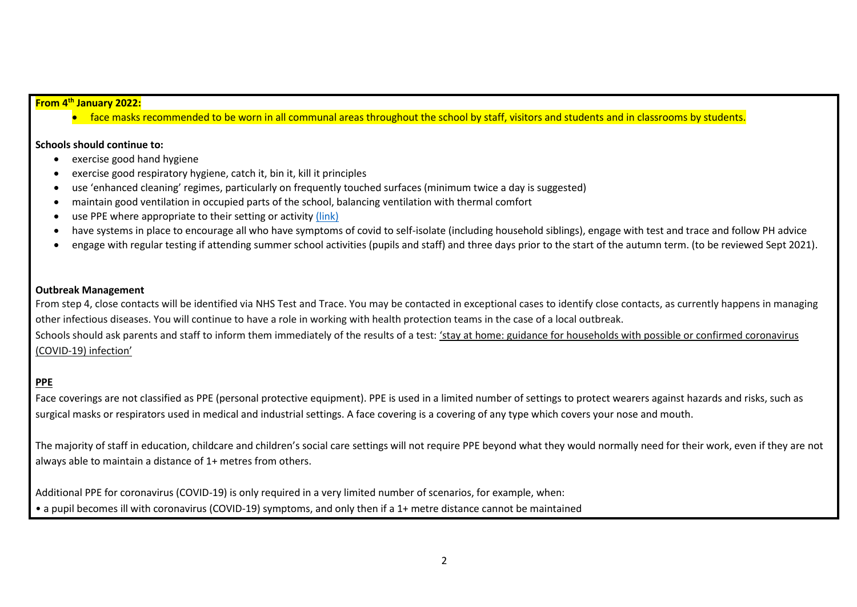#### **From 4th January 2022:**

• face masks recommended to be worn in all communal areas throughout the school by staff, visitors and students and in classrooms by students.

#### **Schools should continue to:**

- exercise good hand hygiene
- exercise good respiratory hygiene, catch it, bin it, kill it principles
- use 'enhanced cleaning' regimes, particularly on frequently touched surfaces (minimum twice a day is suggested)
- maintain good ventilation in occupied parts of the school, balancing ventilation with thermal comfort
- use PPE where appropriate to their setting or activity [\(link\)](https://www.gov.uk/government/publications/safe-working-in-education-childcare-and-childrens-social-care/safe-working-in-education-childcare-and-childrens-social-care-settings-including-the-use-of-personal-protective-equipment-ppe)
- have systems in place to encourage all who have symptoms of covid to self-isolate (including household siblings), engage with test and trace and follow PH advice
- engage with regular testing if attending summer school activities (pupils and staff) and three days prior to the start of the autumn term. (to be reviewed Sept 2021).

#### **Outbreak Management**

From step 4, close contacts will be identified via NHS Test and Trace. You may be contacted in exceptional cases to identify close contacts, as currently happens in managing other infectious diseases. You will continue to have a role in working with health protection teams in the case of a local outbreak. Schools should ask parents and staff to inform them immediately of the results of a test: 'stay at home: guidance for households with possible or confirmed [coronavirus](https://www.gov.uk/government/publications/covid-19-stay-at-home-guidance) [\(COVID-19\)](https://www.gov.uk/government/publications/covid-19-stay-at-home-guidance) infection'

# **PPE**

Face coverings are not classified as PPE (personal protective equipment). PPE is used in a limited number of settings to protect wearers against hazards and risks, such as surgical masks or respirators used in medical and industrial settings. A face covering is a covering of any type which covers your nose and mouth.

The majority of staff in education, childcare and children's social care settings will not require PPE beyond what they would normally need for their work, even if they are not always able to maintain a distance of 1+ metres from others.

Additional PPE for coronavirus (COVID-19) is only required in a very limited number of scenarios, for example, when: • a pupil becomes ill with coronavirus (COVID-19) symptoms, and only then if a 1+ metre distance cannot be maintained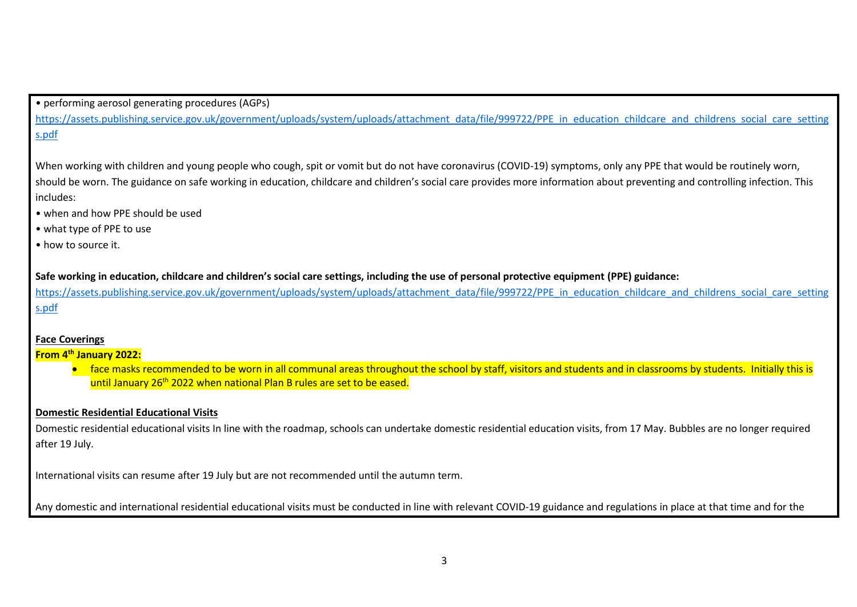• performing aerosol generating procedures (AGPs)

[https://assets.publishing.service.gov.uk/government/uploads/system/uploads/attachment\\_data/file/999722/PPE\\_in\\_education\\_childcare\\_and\\_childrens\\_social\\_care\\_setting](https://assets.publishing.service.gov.uk/government/uploads/system/uploads/attachment_data/file/999722/PPE_in_education_childcare_and_childrens_social_care_settings.pdf) [s.pdf](https://assets.publishing.service.gov.uk/government/uploads/system/uploads/attachment_data/file/999722/PPE_in_education_childcare_and_childrens_social_care_settings.pdf)

When working with children and young people who cough, spit or vomit but do not have coronavirus (COVID-19) symptoms, only any PPE that would be routinely worn, should be worn. The guidance on safe working in education, childcare and children's social care provides more information about preventing and controlling infection. This includes:

- when and how PPE should be used
- what type of PPE to use
- how to source it.

**Safe working in education, childcare and children's social care settings, including the use of personal protective equipment (PPE) guidance:**

[https://assets.publishing.service.gov.uk/government/uploads/system/uploads/attachment\\_data/file/999722/PPE\\_in\\_education\\_childcare\\_and\\_childrens\\_social\\_care\\_setting](https://assets.publishing.service.gov.uk/government/uploads/system/uploads/attachment_data/file/999722/PPE_in_education_childcare_and_childrens_social_care_settings.pdf) [s.pdf](https://assets.publishing.service.gov.uk/government/uploads/system/uploads/attachment_data/file/999722/PPE_in_education_childcare_and_childrens_social_care_settings.pdf)

## **Face Coverings**

## **From 4th January 2022:**

• face masks recommended to be worn in all communal areas throughout the school by staff, visitors and students and in classrooms by students. Initially this is until January 26<sup>th</sup> 2022 when national Plan B rules are set to be eased.

## **Domestic Residential Educational Visits**

Domestic residential educational visits In line with the roadmap, schools can undertake domestic residential education visits, from 17 May. Bubbles are no longer required after 19 July.

International visits can resume after 19 July but are not recommended until the autumn term.

Any domestic and international residential educational visits must be conducted in line with relevant COVID-19 guidance and regulations in place at that time and for the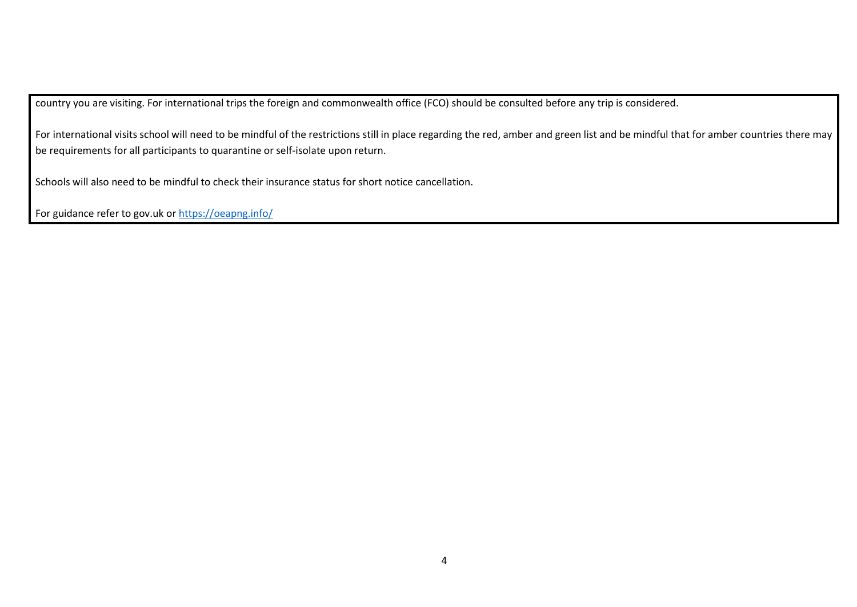country you are visiting. For international trips the foreign and commonwealth office (FCO) should be consulted before any trip is considered.

For international visits school will need to be mindful of the restrictions still in place regarding the red, amber and green list and be mindful that for amber countries there may be requirements for all participants to quarantine or self-isolate upon return.

Schools will also need to be mindful to check their insurance status for short notice cancellation.

For guidance refer to gov.uk o[r https://oeapng.info/](https://oeapng.info/)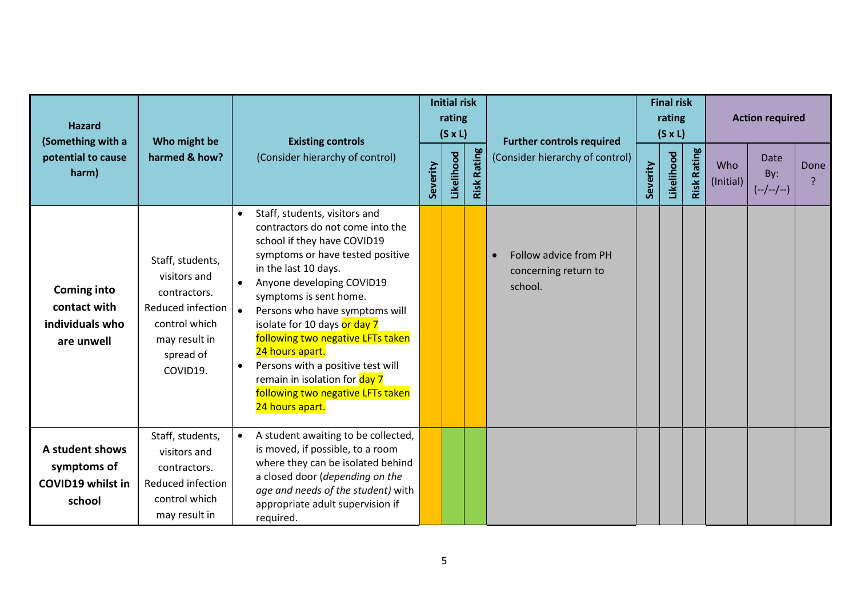| <b>Hazard</b><br>(Something with a                                   | Who might be                                                                                                                     | <b>Existing controls</b>                                                                                                                                                                                                                                                                                                                                                                                                                                                                 |          |            | <b>Initial risk</b><br>rating<br>$(S \times L)$ | <b>Further controls required</b>                                      | <b>Final risk</b><br>rating<br>$(S \times L)$ |            |                    | <b>Action required</b> |                            |      |
|----------------------------------------------------------------------|----------------------------------------------------------------------------------------------------------------------------------|------------------------------------------------------------------------------------------------------------------------------------------------------------------------------------------------------------------------------------------------------------------------------------------------------------------------------------------------------------------------------------------------------------------------------------------------------------------------------------------|----------|------------|-------------------------------------------------|-----------------------------------------------------------------------|-----------------------------------------------|------------|--------------------|------------------------|----------------------------|------|
| potential to cause<br>harm)                                          | harmed & how?                                                                                                                    | (Consider hierarchy of control)                                                                                                                                                                                                                                                                                                                                                                                                                                                          | Severity | Likelihood | <b>Risk Rating</b>                              | (Consider hierarchy of control)                                       | Severity                                      | Likelihood | <b>Risk Rating</b> | Who<br>(Initial)       | Date<br>By:<br>$(-/-/-/-)$ | Done |
| <b>Coming into</b><br>contact with<br>individuals who<br>are unwell  | Staff, students,<br>visitors and<br>contractors.<br>Reduced infection<br>control which<br>may result in<br>spread of<br>COVID19. | Staff, students, visitors and<br>$\bullet$<br>contractors do not come into the<br>school if they have COVID19<br>symptoms or have tested positive<br>in the last 10 days.<br>Anyone developing COVID19<br>symptoms is sent home.<br>Persons who have symptoms will<br>isolate for 10 days or day 7<br>following two negative LFTs taken<br>24 hours apart.<br>Persons with a positive test will<br>remain in isolation for day 7<br>following two negative LFTs taken<br>24 hours apart. |          |            |                                                 | Follow advice from PH<br>$\bullet$<br>concerning return to<br>school. |                                               |            |                    |                        |                            |      |
| A student shows<br>symptoms of<br><b>COVID19 whilst in</b><br>school | Staff, students,<br>visitors and<br>contractors.<br>Reduced infection<br>control which<br>may result in                          | A student awaiting to be collected,<br>is moved, if possible, to a room<br>where they can be isolated behind<br>a closed door (depending on the<br>age and needs of the student) with<br>appropriate adult supervision if<br>required.                                                                                                                                                                                                                                                   |          |            |                                                 |                                                                       |                                               |            |                    |                        |                            |      |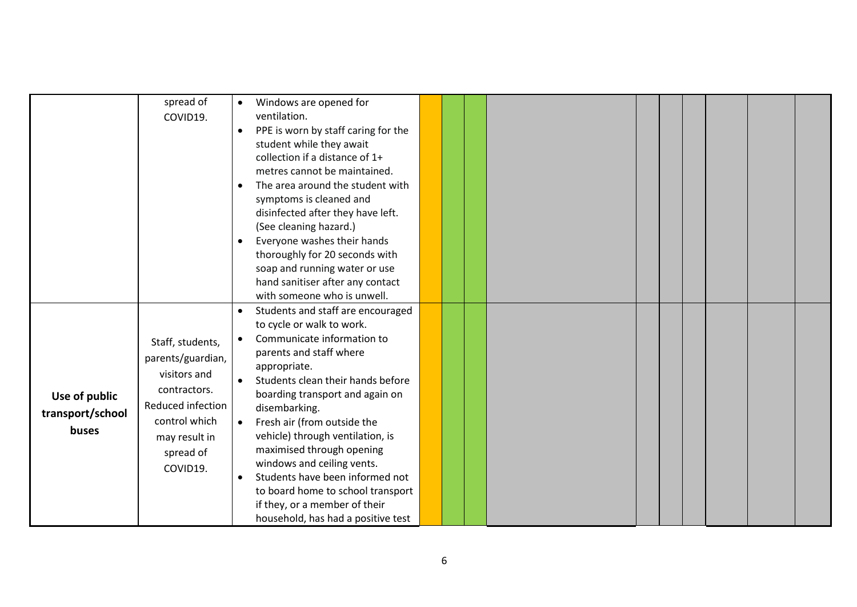|                                            | spread of<br>COVID19.                                                                                                                                 | Windows are opened for<br>$\bullet$<br>ventilation.<br>PPE is worn by staff caring for the<br>$\bullet$<br>student while they await<br>collection if a distance of 1+<br>metres cannot be maintained.                                                                                                                                                                                                                                                                                                                                                |  |
|--------------------------------------------|-------------------------------------------------------------------------------------------------------------------------------------------------------|------------------------------------------------------------------------------------------------------------------------------------------------------------------------------------------------------------------------------------------------------------------------------------------------------------------------------------------------------------------------------------------------------------------------------------------------------------------------------------------------------------------------------------------------------|--|
|                                            |                                                                                                                                                       | The area around the student with<br>$\bullet$<br>symptoms is cleaned and<br>disinfected after they have left.<br>(See cleaning hazard.)<br>Everyone washes their hands<br>$\bullet$<br>thoroughly for 20 seconds with<br>soap and running water or use<br>hand sanitiser after any contact<br>with someone who is unwell.                                                                                                                                                                                                                            |  |
| Use of public<br>transport/school<br>buses | Staff, students,<br>parents/guardian,<br>visitors and<br>contractors.<br>Reduced infection<br>control which<br>may result in<br>spread of<br>COVID19. | Students and staff are encouraged<br>$\bullet$<br>to cycle or walk to work.<br>Communicate information to<br>$\bullet$<br>parents and staff where<br>appropriate.<br>Students clean their hands before<br>boarding transport and again on<br>disembarking.<br>Fresh air (from outside the<br>$\bullet$<br>vehicle) through ventilation, is<br>maximised through opening<br>windows and ceiling vents.<br>Students have been informed not<br>to board home to school transport<br>if they, or a member of their<br>household, has had a positive test |  |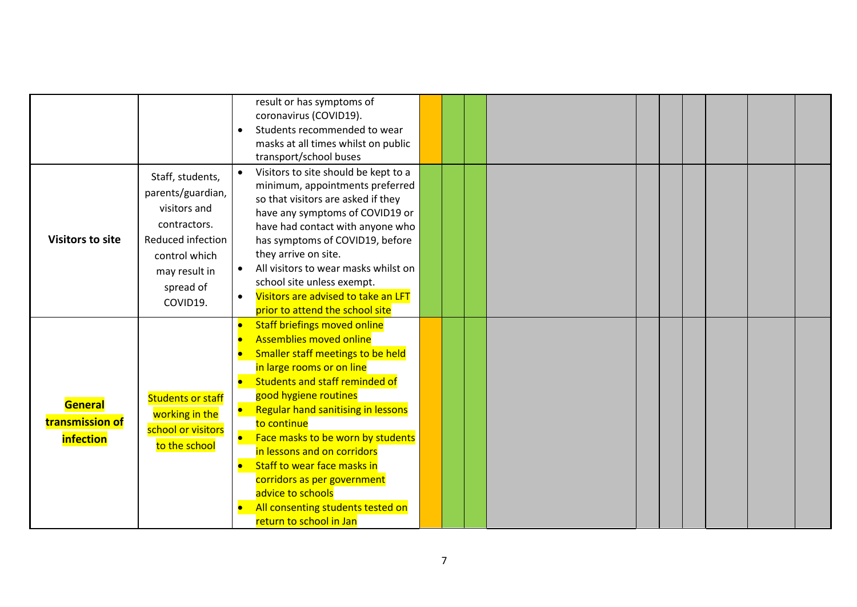|                         |                          |           | result or has symptoms of            |  |  |  |  |  |
|-------------------------|--------------------------|-----------|--------------------------------------|--|--|--|--|--|
|                         |                          |           | coronavirus (COVID19).               |  |  |  |  |  |
|                         |                          | $\bullet$ | Students recommended to wear         |  |  |  |  |  |
|                         |                          |           | masks at all times whilst on public  |  |  |  |  |  |
|                         |                          |           | transport/school buses               |  |  |  |  |  |
|                         | Staff, students,         |           | Visitors to site should be kept to a |  |  |  |  |  |
|                         | parents/guardian,        |           | minimum, appointments preferred      |  |  |  |  |  |
|                         |                          |           | so that visitors are asked if they   |  |  |  |  |  |
|                         | visitors and             |           | have any symptoms of COVID19 or      |  |  |  |  |  |
|                         | contractors.             |           | have had contact with anyone who     |  |  |  |  |  |
| <b>Visitors to site</b> | Reduced infection        |           | has symptoms of COVID19, before      |  |  |  |  |  |
|                         | control which            |           | they arrive on site.                 |  |  |  |  |  |
|                         | may result in            |           | All visitors to wear masks whilst on |  |  |  |  |  |
|                         | spread of                |           | school site unless exempt.           |  |  |  |  |  |
|                         | COVID19.                 | $\bullet$ | Visitors are advised to take an LFT  |  |  |  |  |  |
|                         |                          |           | prior to attend the school site      |  |  |  |  |  |
|                         |                          |           | <b>Staff briefings moved online</b>  |  |  |  |  |  |
|                         |                          |           | <b>Assemblies moved online</b>       |  |  |  |  |  |
|                         |                          |           | Smaller staff meetings to be held    |  |  |  |  |  |
|                         |                          |           | in large rooms or on line            |  |  |  |  |  |
|                         |                          | $\bullet$ | Students and staff reminded of       |  |  |  |  |  |
|                         | <b>Students or staff</b> |           | good hygiene routines                |  |  |  |  |  |
| General                 | working in the           |           | Regular hand sanitising in lessons   |  |  |  |  |  |
| transmission of         | school or visitors       |           | to continue                          |  |  |  |  |  |
| <i>infection</i>        |                          | $\bullet$ | Face masks to be worn by students    |  |  |  |  |  |
|                         | to the school            |           | in lessons and on corridors          |  |  |  |  |  |
|                         |                          | $\bullet$ | Staff to wear face masks in          |  |  |  |  |  |
|                         |                          |           | corridors as per government          |  |  |  |  |  |
|                         |                          |           | advice to schools                    |  |  |  |  |  |
|                         |                          | $\bullet$ | All consenting students tested on    |  |  |  |  |  |
|                         |                          |           | return to school in Jan              |  |  |  |  |  |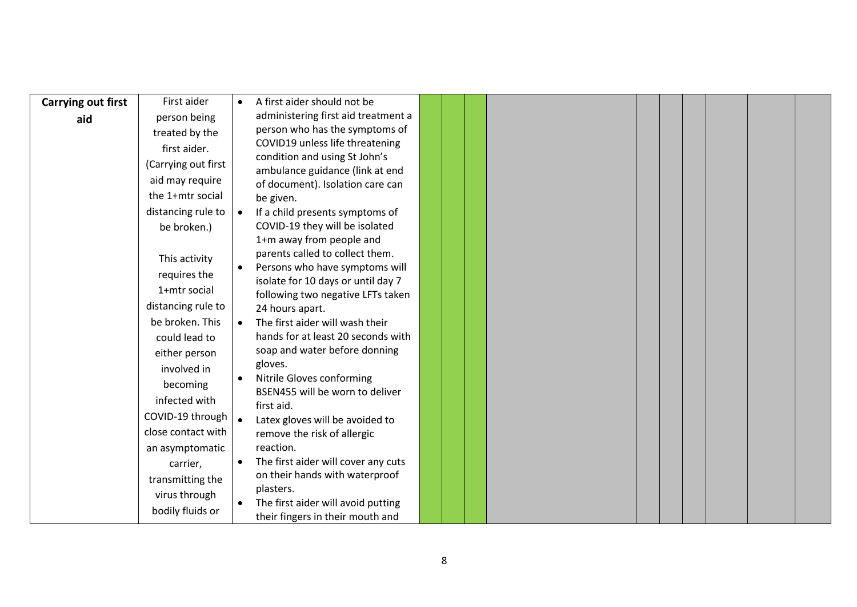| <b>Carrying out first</b> | First aider         | $\bullet$ | A first aider should not be                                  |  |  |  |  |  |
|---------------------------|---------------------|-----------|--------------------------------------------------------------|--|--|--|--|--|
| aid                       | person being        |           | administering first aid treatment a                          |  |  |  |  |  |
|                           | treated by the      |           | person who has the symptoms of                               |  |  |  |  |  |
|                           | first aider.        |           | COVID19 unless life threatening                              |  |  |  |  |  |
|                           | (Carrying out first |           | condition and using St John's                                |  |  |  |  |  |
|                           | aid may require     |           | ambulance guidance (link at end                              |  |  |  |  |  |
|                           | the 1+mtr social    |           | of document). Isolation care can<br>be given.                |  |  |  |  |  |
|                           | distancing rule to  |           | If a child presents symptoms of                              |  |  |  |  |  |
|                           | be broken.)         |           | COVID-19 they will be isolated                               |  |  |  |  |  |
|                           |                     |           | 1+m away from people and                                     |  |  |  |  |  |
|                           |                     |           | parents called to collect them.                              |  |  |  |  |  |
|                           | This activity       |           | Persons who have symptoms will                               |  |  |  |  |  |
|                           | requires the        |           | isolate for 10 days or until day 7                           |  |  |  |  |  |
|                           | 1+mtr social        |           | following two negative LFTs taken                            |  |  |  |  |  |
|                           | distancing rule to  |           | 24 hours apart.                                              |  |  |  |  |  |
|                           | be broken. This     | $\bullet$ | The first aider will wash their                              |  |  |  |  |  |
|                           | could lead to       |           | hands for at least 20 seconds with                           |  |  |  |  |  |
|                           | either person       |           | soap and water before donning                                |  |  |  |  |  |
|                           | involved in         |           | gloves.                                                      |  |  |  |  |  |
|                           | becoming            |           | Nitrile Gloves conforming<br>BSEN455 will be worn to deliver |  |  |  |  |  |
|                           | infected with       |           | first aid.                                                   |  |  |  |  |  |
|                           | COVID-19 through    |           | Latex gloves will be avoided to                              |  |  |  |  |  |
|                           | close contact with  |           | remove the risk of allergic                                  |  |  |  |  |  |
|                           | an asymptomatic     |           | reaction.                                                    |  |  |  |  |  |
|                           | carrier,            | $\bullet$ | The first aider will cover any cuts                          |  |  |  |  |  |
|                           | transmitting the    |           | on their hands with waterproof                               |  |  |  |  |  |
|                           | virus through       |           | plasters.                                                    |  |  |  |  |  |
|                           | bodily fluids or    |           | The first aider will avoid putting                           |  |  |  |  |  |
|                           |                     |           | their fingers in their mouth and                             |  |  |  |  |  |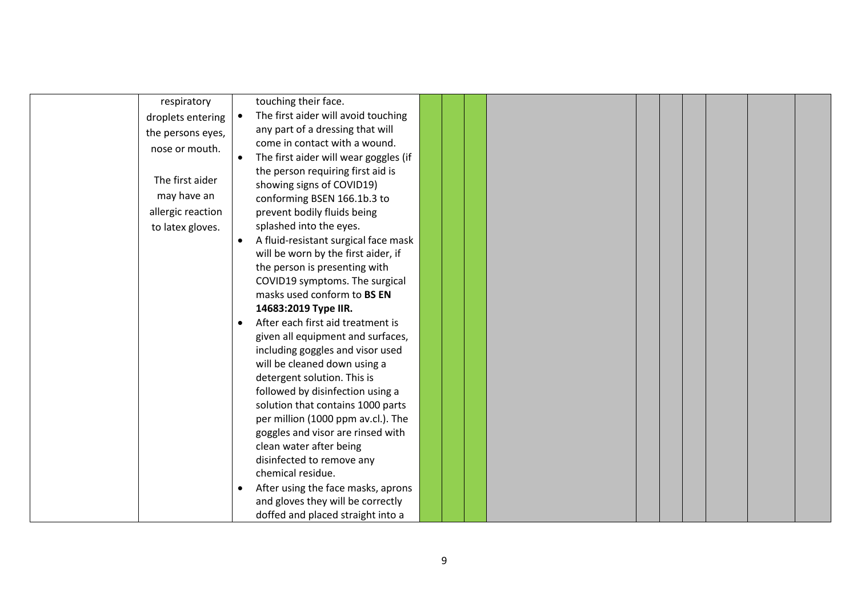| respiratory       | touching their face.                  |  |  |  |  |  |
|-------------------|---------------------------------------|--|--|--|--|--|
| droplets entering | The first aider will avoid touching   |  |  |  |  |  |
| the persons eyes, | any part of a dressing that will      |  |  |  |  |  |
| nose or mouth.    | come in contact with a wound.         |  |  |  |  |  |
|                   | The first aider will wear goggles (if |  |  |  |  |  |
|                   | the person requiring first aid is     |  |  |  |  |  |
| The first aider   | showing signs of COVID19)             |  |  |  |  |  |
| may have an       | conforming BSEN 166.1b.3 to           |  |  |  |  |  |
| allergic reaction | prevent bodily fluids being           |  |  |  |  |  |
| to latex gloves.  | splashed into the eyes.               |  |  |  |  |  |
|                   | A fluid-resistant surgical face mask  |  |  |  |  |  |
|                   | will be worn by the first aider, if   |  |  |  |  |  |
|                   | the person is presenting with         |  |  |  |  |  |
|                   | COVID19 symptoms. The surgical        |  |  |  |  |  |
|                   | masks used conform to BS EN           |  |  |  |  |  |
|                   | 14683:2019 Type IIR.                  |  |  |  |  |  |
|                   | After each first aid treatment is     |  |  |  |  |  |
|                   | given all equipment and surfaces,     |  |  |  |  |  |
|                   | including goggles and visor used      |  |  |  |  |  |
|                   | will be cleaned down using a          |  |  |  |  |  |
|                   | detergent solution. This is           |  |  |  |  |  |
|                   | followed by disinfection using a      |  |  |  |  |  |
|                   | solution that contains 1000 parts     |  |  |  |  |  |
|                   | per million (1000 ppm av.cl.). The    |  |  |  |  |  |
|                   | goggles and visor are rinsed with     |  |  |  |  |  |
|                   | clean water after being               |  |  |  |  |  |
|                   | disinfected to remove any             |  |  |  |  |  |
|                   | chemical residue.                     |  |  |  |  |  |
|                   | After using the face masks, aprons    |  |  |  |  |  |
|                   | and gloves they will be correctly     |  |  |  |  |  |
|                   | doffed and placed straight into a     |  |  |  |  |  |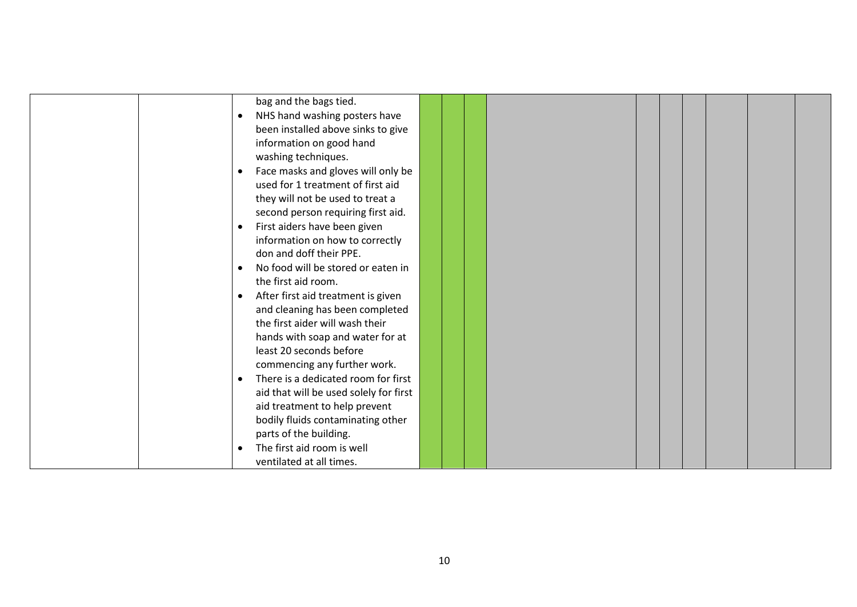|                        | bag and the bags tied.                 |  |  |  |  |
|------------------------|----------------------------------------|--|--|--|--|
| $\bullet$              | NHS hand washing posters have          |  |  |  |  |
|                        | been installed above sinks to give     |  |  |  |  |
|                        | information on good hand               |  |  |  |  |
| washing techniques.    |                                        |  |  |  |  |
| $\bullet$              | Face masks and gloves will only be     |  |  |  |  |
|                        | used for 1 treatment of first aid      |  |  |  |  |
|                        | they will not be used to treat a       |  |  |  |  |
|                        | second person requiring first aid.     |  |  |  |  |
| $\bullet$              | First aiders have been given           |  |  |  |  |
|                        | information on how to correctly        |  |  |  |  |
|                        | don and doff their PPE.                |  |  |  |  |
| $\bullet$              | No food will be stored or eaten in     |  |  |  |  |
| the first aid room.    |                                        |  |  |  |  |
| $\bullet$              | After first aid treatment is given     |  |  |  |  |
|                        | and cleaning has been completed        |  |  |  |  |
|                        | the first aider will wash their        |  |  |  |  |
|                        | hands with soap and water for at       |  |  |  |  |
|                        | least 20 seconds before                |  |  |  |  |
|                        | commencing any further work.           |  |  |  |  |
| $\bullet$              | There is a dedicated room for first    |  |  |  |  |
|                        | aid that will be used solely for first |  |  |  |  |
|                        | aid treatment to help prevent          |  |  |  |  |
|                        | bodily fluids contaminating other      |  |  |  |  |
| parts of the building. |                                        |  |  |  |  |
|                        | The first aid room is well             |  |  |  |  |
|                        | ventilated at all times.               |  |  |  |  |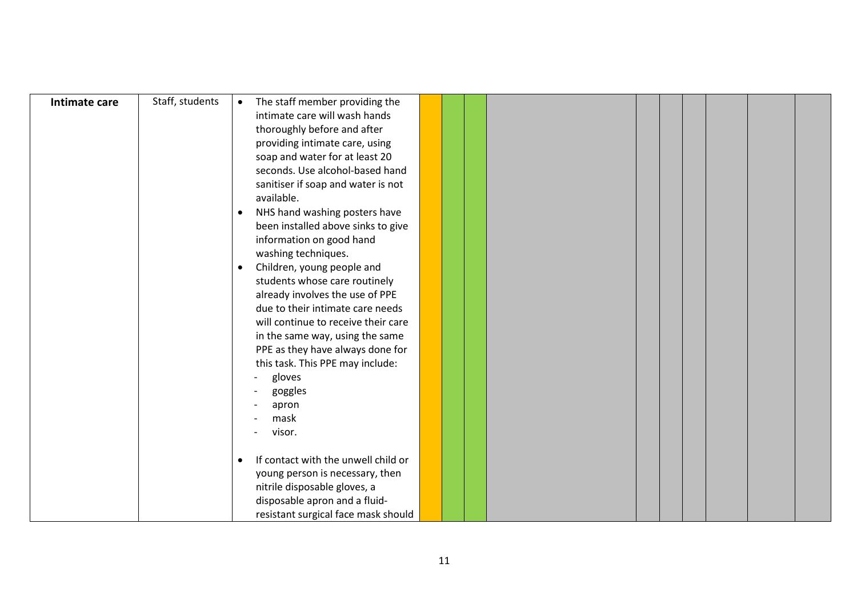| Intimate care | Staff, students | The staff member providing the<br>$\bullet$      |
|---------------|-----------------|--------------------------------------------------|
|               |                 | intimate care will wash hands                    |
|               |                 | thoroughly before and after                      |
|               |                 | providing intimate care, using                   |
|               |                 | soap and water for at least 20                   |
|               |                 | seconds. Use alcohol-based hand                  |
|               |                 | sanitiser if soap and water is not               |
|               |                 | available.                                       |
|               |                 | NHS hand washing posters have<br>$\bullet$       |
|               |                 | been installed above sinks to give               |
|               |                 | information on good hand                         |
|               |                 | washing techniques.                              |
|               |                 | Children, young people and<br>$\bullet$          |
|               |                 | students whose care routinely                    |
|               |                 | already involves the use of PPE                  |
|               |                 | due to their intimate care needs                 |
|               |                 | will continue to receive their care              |
|               |                 | in the same way, using the same                  |
|               |                 | PPE as they have always done for                 |
|               |                 | this task. This PPE may include:                 |
|               |                 | gloves<br>$\overline{\phantom{0}}$               |
|               |                 | goggles                                          |
|               |                 | apron                                            |
|               |                 | mask                                             |
|               |                 | visor.                                           |
|               |                 |                                                  |
|               |                 | If contact with the unwell child or<br>$\bullet$ |
|               |                 | young person is necessary, then                  |
|               |                 | nitrile disposable gloves, a                     |
|               |                 | disposable apron and a fluid-                    |
|               |                 | resistant surgical face mask should              |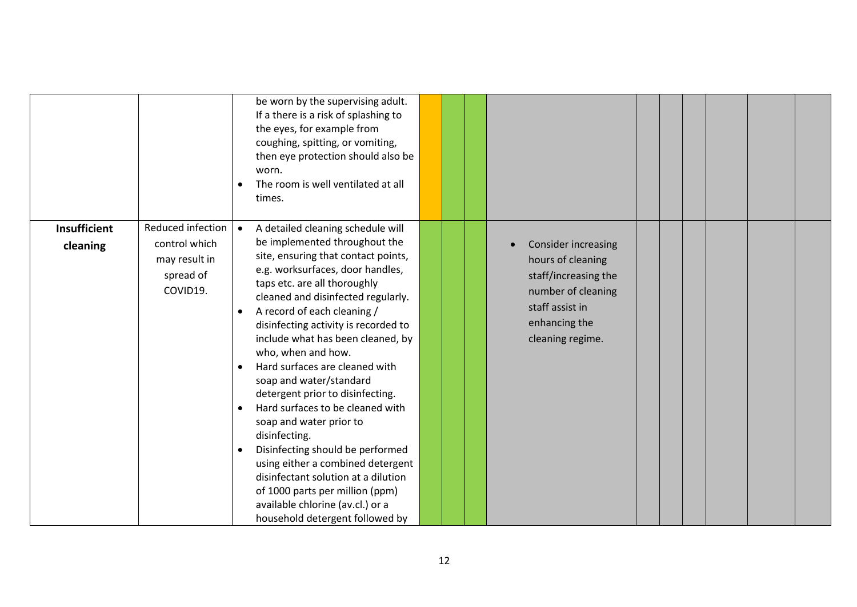|                                 |                                                                              | be worn by the supervising adult.<br>If a there is a risk of splashing to<br>the eyes, for example from<br>coughing, spitting, or vomiting,<br>then eye protection should also be<br>worn.<br>The room is well ventilated at all<br>times.                                                                                                                                                                                                                                                                                                                                                                                                                                                                                                                                                              |  |                                                                                                                                                       |  |  |  |
|---------------------------------|------------------------------------------------------------------------------|---------------------------------------------------------------------------------------------------------------------------------------------------------------------------------------------------------------------------------------------------------------------------------------------------------------------------------------------------------------------------------------------------------------------------------------------------------------------------------------------------------------------------------------------------------------------------------------------------------------------------------------------------------------------------------------------------------------------------------------------------------------------------------------------------------|--|-------------------------------------------------------------------------------------------------------------------------------------------------------|--|--|--|
| <b>Insufficient</b><br>cleaning | Reduced infection<br>control which<br>may result in<br>spread of<br>COVID19. | A detailed cleaning schedule will<br>be implemented throughout the<br>site, ensuring that contact points,<br>e.g. worksurfaces, door handles,<br>taps etc. are all thoroughly<br>cleaned and disinfected regularly.<br>A record of each cleaning /<br>$\bullet$<br>disinfecting activity is recorded to<br>include what has been cleaned, by<br>who, when and how.<br>Hard surfaces are cleaned with<br>soap and water/standard<br>detergent prior to disinfecting.<br>Hard surfaces to be cleaned with<br>$\bullet$<br>soap and water prior to<br>disinfecting.<br>Disinfecting should be performed<br>$\bullet$<br>using either a combined detergent<br>disinfectant solution at a dilution<br>of 1000 parts per million (ppm)<br>available chlorine (av.cl.) or a<br>household detergent followed by |  | <b>Consider increasing</b><br>hours of cleaning<br>staff/increasing the<br>number of cleaning<br>staff assist in<br>enhancing the<br>cleaning regime. |  |  |  |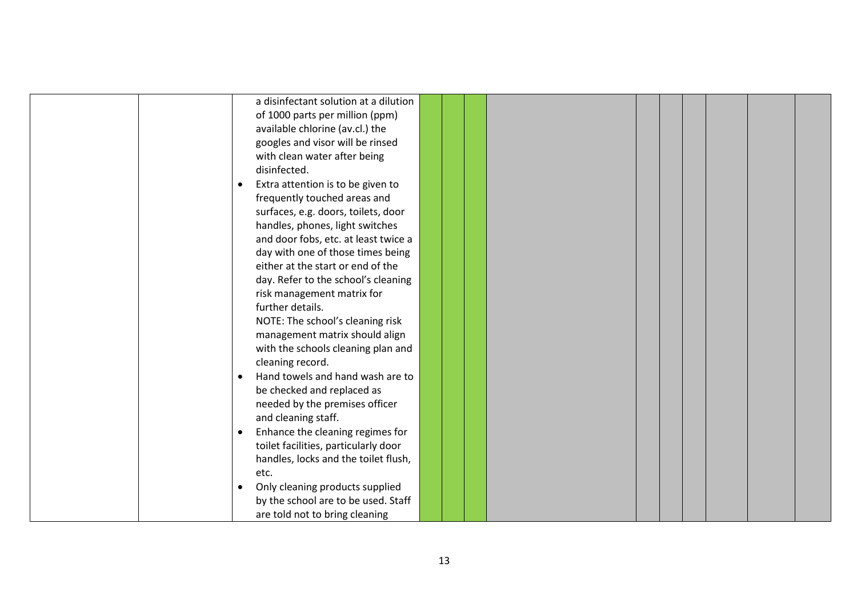| a disinfectant solution at a dilution          |  |  |  |  |  |
|------------------------------------------------|--|--|--|--|--|
| of 1000 parts per million (ppm)                |  |  |  |  |  |
| available chlorine (av.cl.) the                |  |  |  |  |  |
| googles and visor will be rinsed               |  |  |  |  |  |
| with clean water after being                   |  |  |  |  |  |
| disinfected.                                   |  |  |  |  |  |
| Extra attention is to be given to<br>$\bullet$ |  |  |  |  |  |
| frequently touched areas and                   |  |  |  |  |  |
| surfaces, e.g. doors, toilets, door            |  |  |  |  |  |
| handles, phones, light switches                |  |  |  |  |  |
| and door fobs, etc. at least twice a           |  |  |  |  |  |
| day with one of those times being              |  |  |  |  |  |
| either at the start or end of the              |  |  |  |  |  |
| day. Refer to the school's cleaning            |  |  |  |  |  |
| risk management matrix for                     |  |  |  |  |  |
| further details.                               |  |  |  |  |  |
| NOTE: The school's cleaning risk               |  |  |  |  |  |
| management matrix should align                 |  |  |  |  |  |
| with the schools cleaning plan and             |  |  |  |  |  |
| cleaning record.                               |  |  |  |  |  |
| Hand towels and hand wash are to               |  |  |  |  |  |
| be checked and replaced as                     |  |  |  |  |  |
| needed by the premises officer                 |  |  |  |  |  |
| and cleaning staff.                            |  |  |  |  |  |
| Enhance the cleaning regimes for<br>$\bullet$  |  |  |  |  |  |
| toilet facilities, particularly door           |  |  |  |  |  |
| handles, locks and the toilet flush,           |  |  |  |  |  |
| etc.                                           |  |  |  |  |  |
| Only cleaning products supplied<br>$\bullet$   |  |  |  |  |  |
| by the school are to be used. Staff            |  |  |  |  |  |
| are told not to bring cleaning                 |  |  |  |  |  |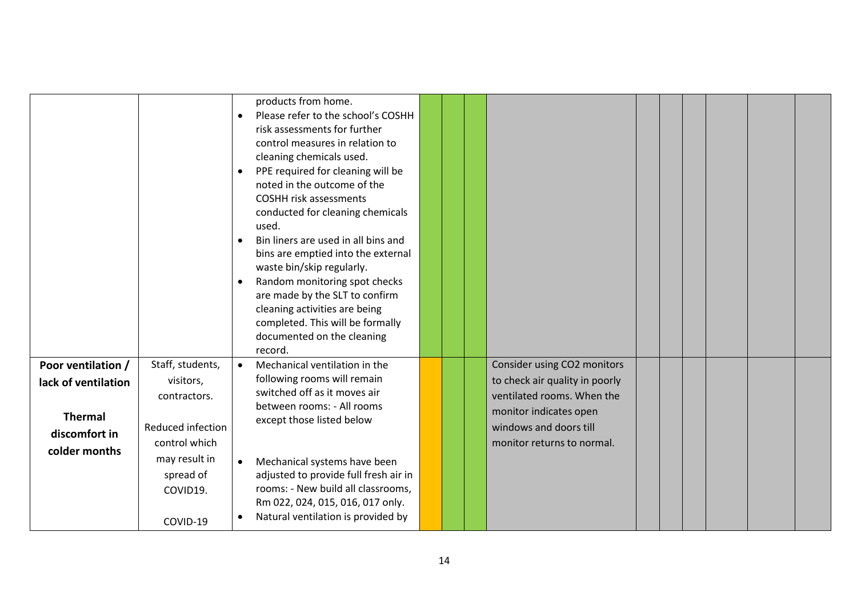|                                                                                               |                                                                                                                                           | products from home.<br>Please refer to the school's COSHH<br>$\bullet$<br>risk assessments for further<br>control measures in relation to<br>cleaning chemicals used.<br>PPE required for cleaning will be<br>$\bullet$<br>noted in the outcome of the<br><b>COSHH risk assessments</b><br>conducted for cleaning chemicals<br>used.<br>Bin liners are used in all bins and<br>$\bullet$<br>bins are emptied into the external<br>waste bin/skip regularly.<br>Random monitoring spot checks<br>$\bullet$<br>are made by the SLT to confirm<br>cleaning activities are being<br>completed. This will be formally<br>documented on the cleaning<br>record. |  |                                                                                                                                                                               |  |  |  |
|-----------------------------------------------------------------------------------------------|-------------------------------------------------------------------------------------------------------------------------------------------|-----------------------------------------------------------------------------------------------------------------------------------------------------------------------------------------------------------------------------------------------------------------------------------------------------------------------------------------------------------------------------------------------------------------------------------------------------------------------------------------------------------------------------------------------------------------------------------------------------------------------------------------------------------|--|-------------------------------------------------------------------------------------------------------------------------------------------------------------------------------|--|--|--|
| Poor ventilation /<br>lack of ventilation<br><b>Thermal</b><br>discomfort in<br>colder months | Staff, students,<br>visitors,<br>contractors.<br>Reduced infection<br>control which<br>may result in<br>spread of<br>COVID19.<br>COVID-19 | Mechanical ventilation in the<br>$\bullet$<br>following rooms will remain<br>switched off as it moves air<br>between rooms: - All rooms<br>except those listed below<br>Mechanical systems have been<br>$\bullet$<br>adjusted to provide full fresh air in<br>rooms: - New build all classrooms,<br>Rm 022, 024, 015, 016, 017 only.<br>Natural ventilation is provided by                                                                                                                                                                                                                                                                                |  | Consider using CO2 monitors<br>to check air quality in poorly<br>ventilated rooms. When the<br>monitor indicates open<br>windows and doors till<br>monitor returns to normal. |  |  |  |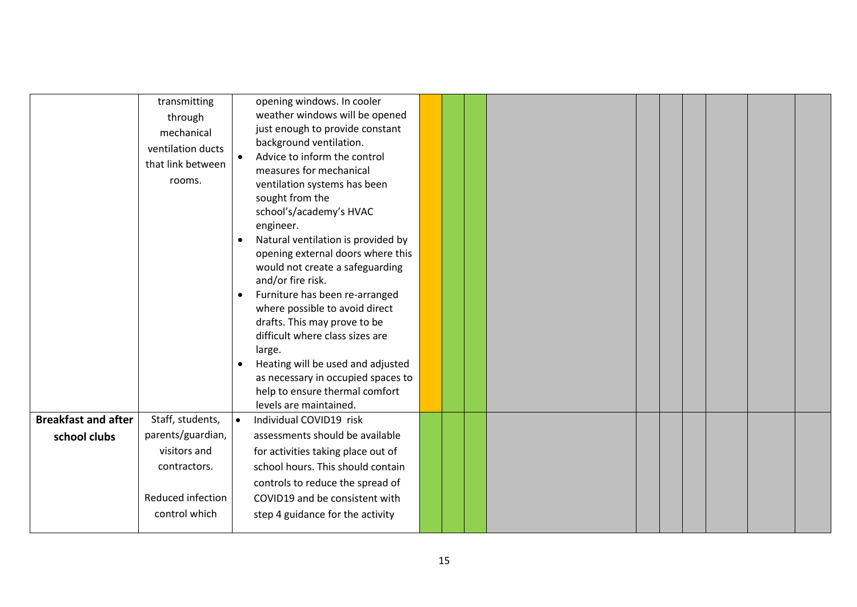|                            | transmitting<br>through                                        |           | opening windows. In cooler<br>weather windows will be opened                                                                                                                                                                                           |  |  |  |  |  |  |  |
|----------------------------|----------------------------------------------------------------|-----------|--------------------------------------------------------------------------------------------------------------------------------------------------------------------------------------------------------------------------------------------------------|--|--|--|--|--|--|--|
|                            | mechanical<br>ventilation ducts<br>that link between<br>rooms. |           | just enough to provide constant<br>background ventilation.<br>Advice to inform the control<br>measures for mechanical<br>ventilation systems has been<br>sought from the<br>school's/academy's HVAC<br>engineer.<br>Natural ventilation is provided by |  |  |  |  |  |  |  |
|                            |                                                                | $\bullet$ | opening external doors where this<br>would not create a safeguarding<br>and/or fire risk.<br>Furniture has been re-arranged<br>where possible to avoid direct<br>drafts. This may prove to be<br>difficult where class sizes are<br>large.             |  |  |  |  |  |  |  |
|                            |                                                                |           | Heating will be used and adjusted<br>as necessary in occupied spaces to<br>help to ensure thermal comfort<br>levels are maintained.                                                                                                                    |  |  |  |  |  |  |  |
| <b>Breakfast and after</b> | Staff, students,                                               | $\bullet$ | Individual COVID19 risk                                                                                                                                                                                                                                |  |  |  |  |  |  |  |
| school clubs               | parents/guardian,                                              |           | assessments should be available                                                                                                                                                                                                                        |  |  |  |  |  |  |  |
|                            | visitors and                                                   |           | for activities taking place out of                                                                                                                                                                                                                     |  |  |  |  |  |  |  |
|                            | contractors.                                                   |           | school hours. This should contain                                                                                                                                                                                                                      |  |  |  |  |  |  |  |
|                            |                                                                |           | controls to reduce the spread of                                                                                                                                                                                                                       |  |  |  |  |  |  |  |
|                            | Reduced infection                                              |           | COVID19 and be consistent with                                                                                                                                                                                                                         |  |  |  |  |  |  |  |
|                            | control which                                                  |           | step 4 guidance for the activity                                                                                                                                                                                                                       |  |  |  |  |  |  |  |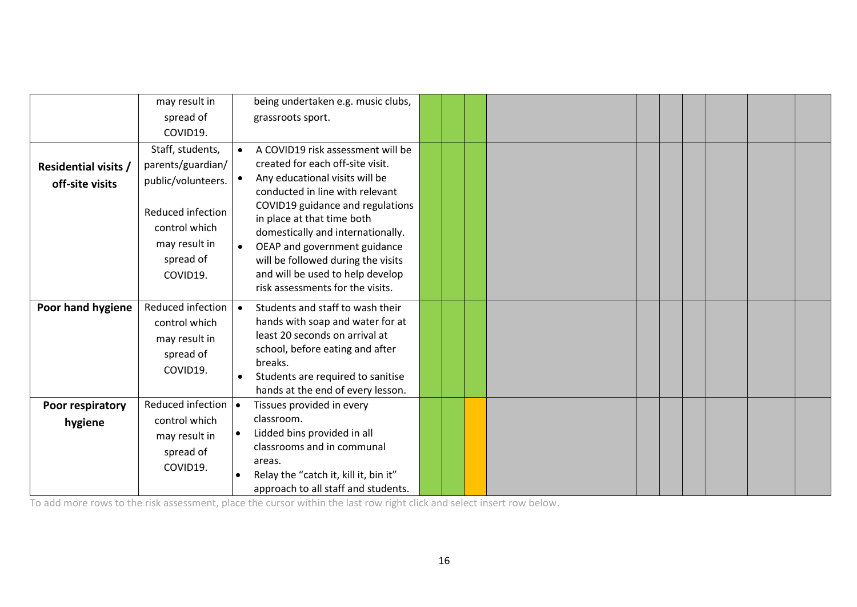|                             | may result in                                                                |                   | being undertaken e.g. music clubs,                                                                                                                                                                                                                |  |  |  |  |  |
|-----------------------------|------------------------------------------------------------------------------|-------------------|---------------------------------------------------------------------------------------------------------------------------------------------------------------------------------------------------------------------------------------------------|--|--|--|--|--|
|                             | spread of                                                                    | grassroots sport. |                                                                                                                                                                                                                                                   |  |  |  |  |  |
|                             | COVID19.                                                                     |                   |                                                                                                                                                                                                                                                   |  |  |  |  |  |
|                             | Staff, students,                                                             |                   | A COVID19 risk assessment will be                                                                                                                                                                                                                 |  |  |  |  |  |
| <b>Residential visits /</b> | parents/guardian/                                                            |                   | created for each off-site visit.                                                                                                                                                                                                                  |  |  |  |  |  |
| off-site visits             | public/volunteers.                                                           |                   | Any educational visits will be<br>conducted in line with relevant                                                                                                                                                                                 |  |  |  |  |  |
|                             | Reduced infection<br>control which<br>may result in<br>spread of<br>COVID19. |                   | COVID19 guidance and regulations<br>in place at that time both<br>domestically and internationally.<br>OEAP and government guidance<br>will be followed during the visits<br>and will be used to help develop<br>risk assessments for the visits. |  |  |  |  |  |
| Poor hand hygiene           | Reduced infection                                                            | $\bullet$         | Students and staff to wash their                                                                                                                                                                                                                  |  |  |  |  |  |
|                             | control which                                                                |                   | hands with soap and water for at                                                                                                                                                                                                                  |  |  |  |  |  |
|                             | may result in                                                                |                   | least 20 seconds on arrival at<br>school, before eating and after                                                                                                                                                                                 |  |  |  |  |  |
|                             | spread of                                                                    |                   | breaks.                                                                                                                                                                                                                                           |  |  |  |  |  |
|                             | COVID19.                                                                     |                   | Students are required to sanitise                                                                                                                                                                                                                 |  |  |  |  |  |
|                             |                                                                              |                   | hands at the end of every lesson.                                                                                                                                                                                                                 |  |  |  |  |  |
| Poor respiratory            | Reduced infection   •                                                        |                   | Tissues provided in every                                                                                                                                                                                                                         |  |  |  |  |  |
| hygiene                     | control which                                                                |                   | classroom.                                                                                                                                                                                                                                        |  |  |  |  |  |
|                             | may result in                                                                |                   | Lidded bins provided in all<br>classrooms and in communal                                                                                                                                                                                         |  |  |  |  |  |
|                             | spread of                                                                    |                   | areas.                                                                                                                                                                                                                                            |  |  |  |  |  |
|                             | COVID19.                                                                     |                   | Relay the "catch it, kill it, bin it"                                                                                                                                                                                                             |  |  |  |  |  |
|                             |                                                                              |                   | approach to all staff and students.                                                                                                                                                                                                               |  |  |  |  |  |

To add more rows to the risk assessment, place the cursor within the last row right click and select insert row below.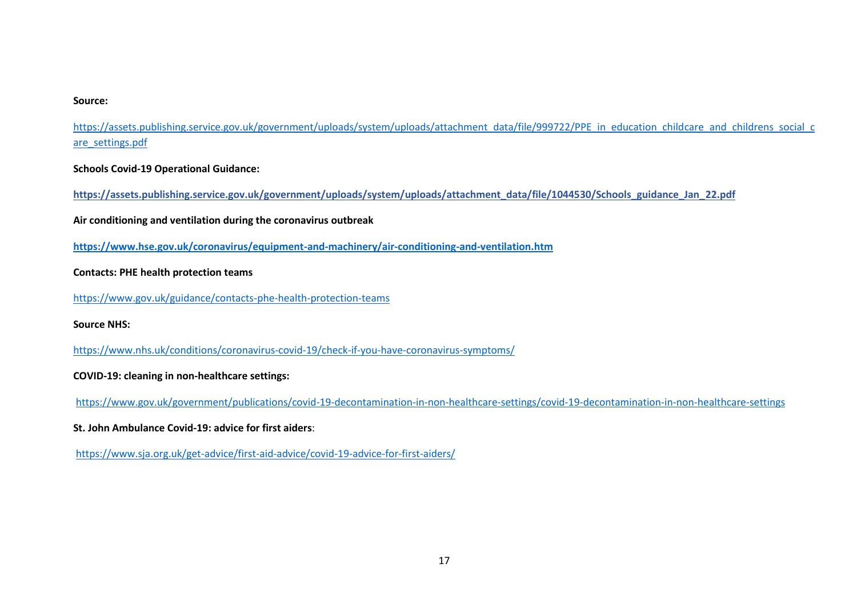#### **Source:**

[https://assets.publishing.service.gov.uk/government/uploads/system/uploads/attachment\\_data/file/999722/PPE\\_in\\_education\\_childcare\\_and\\_childrens\\_social\\_c](https://assets.publishing.service.gov.uk/government/uploads/system/uploads/attachment_data/file/999722/PPE_in_education_childcare_and_childrens_social_care_settings.pdf) [are\\_settings.pdf](https://assets.publishing.service.gov.uk/government/uploads/system/uploads/attachment_data/file/999722/PPE_in_education_childcare_and_childrens_social_care_settings.pdf)

**Schools Covid-19 Operational Guidance:**

**https://assets.publishing.service.gov.uk/government/uploads/system/uploads/attachment\_data/file/1044530/Schools\_guidance\_Jan\_22.pdf**

**Air conditioning and ventilation during the coronavirus outbreak**

**<https://www.hse.gov.uk/coronavirus/equipment-and-machinery/air-conditioning-and-ventilation.htm>**

### **Contacts: PHE health protection teams**

<https://www.gov.uk/guidance/contacts-phe-health-protection-teams>

**Source NHS:**

<https://www.nhs.uk/conditions/coronavirus-covid-19/check-if-you-have-coronavirus-symptoms/>

### **COVID-19: cleaning in non-healthcare settings:**

<https://www.gov.uk/government/publications/covid-19-decontamination-in-non-healthcare-settings/covid-19-decontamination-in-non-healthcare-settings>

### **St. John Ambulance Covid-19: advice for first aiders**:

<https://www.sja.org.uk/get-advice/first-aid-advice/covid-19-advice-for-first-aiders/>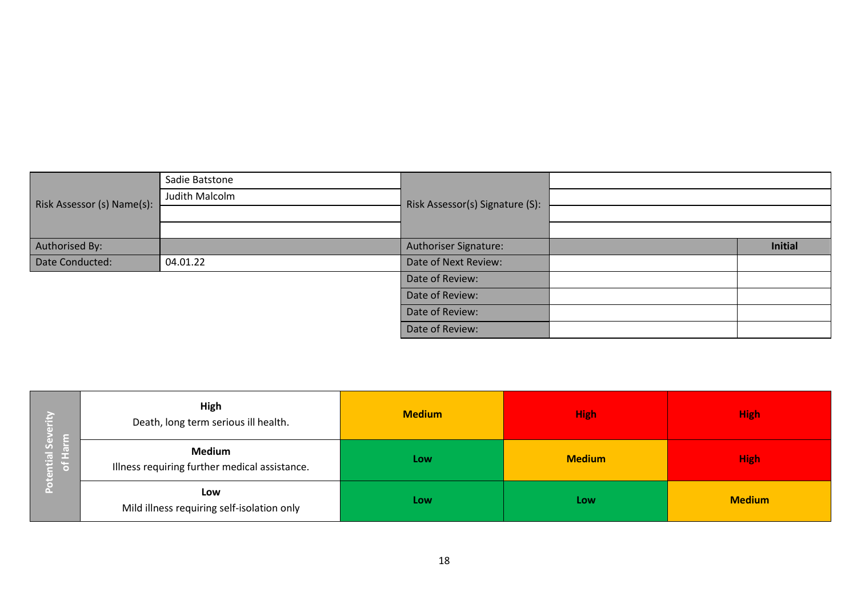|                            | Sadie Batstone |                                 |                |
|----------------------------|----------------|---------------------------------|----------------|
| Risk Assessor (s) Name(s): | Judith Malcolm | Risk Assessor(s) Signature (S): |                |
|                            |                |                                 |                |
|                            |                |                                 |                |
| Authorised By:             |                | Authoriser Signature:           | <b>Initial</b> |
| Date Conducted:            | 04.01.22       | Date of Next Review:            |                |
|                            |                | Date of Review:                 |                |
|                            |                | Date of Review:                 |                |
|                            |                | Date of Review:                 |                |
|                            |                | Date of Review:                 |                |

| ю<br>ε<br>る.<br>ntial Se<br>of Hari<br>Δ. | High<br>Death, long term serious ill health.                   | <b>Medium</b> | <b>High</b>   | <b>High</b>   |  |
|-------------------------------------------|----------------------------------------------------------------|---------------|---------------|---------------|--|
|                                           | <b>Medium</b><br>Illness requiring further medical assistance. | Low           | <b>Medium</b> | <b>High</b>   |  |
|                                           | Low<br>Mild illness requiring self-isolation only              | Low           | Low           | <b>Medium</b> |  |